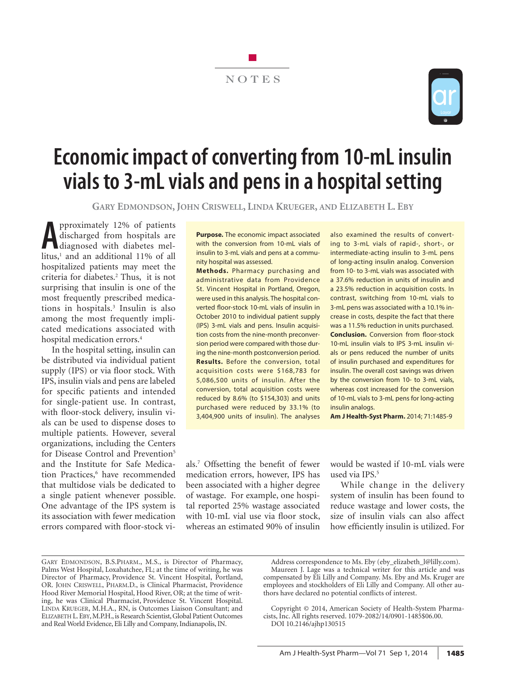# NOTES



# **Economic impact of converting from 10-mL insulin vials to 3-mL vials and pens in a hospital setting**

**Gary Edmondson, John Criswell, Linda Krueger, and Elizabeth L. Eby**

**A** pproximately 12% of patients<br>discharged from hospitals are<br>litus<sup>1</sup> and an additional 11% of all pproximately 12% of patients discharged from hospitals are litus,<sup>1</sup> and an additional 11% of all hospitalized patients may meet the criteria for diabetes.2 Thus, it is not surprising that insulin is one of the most frequently prescribed medications in hospitals.3 Insulin is also among the most frequently implicated medications associated with hospital medication errors.4

In the hospital setting, insulin can be distributed via individual patient supply (IPS) or via floor stock. With IPS, insulin vials and pens are labeled for specific patients and intended for single-patient use. In contrast, with floor-stock delivery, insulin vials can be used to dispense doses to multiple patients. However, several organizations, including the Centers for Disease Control and Prevention<sup>5</sup> and the Institute for Safe Medication Practices,<sup>6</sup> have recommended that multidose vials be dedicated to a single patient whenever possible. One advantage of the IPS system is its association with fewer medication errors compared with floor-stock vi**Purpose.** The economic impact associated with the conversion from 10-mL vials of insulin to 3-mL vials and pens at a community hospital was assessed.

**Methods.** Pharmacy purchasing and administrative data from Providence St. Vincent Hospital in Portland, Oregon, were used in this analysis. The hospital converted floor-stock 10-mL vials of insulin in October 2010 to individual patient supply (IPS) 3-mL vials and pens. Insulin acquisition costs from the nine-month preconversion period were compared with those during the nine-month postconversion period. **Results.** Before the conversion, total acquisition costs were \$168,783 for 5,086,500 units of insulin. After the conversion, total acquisition costs were reduced by 8.6% (to \$154,303) and units purchased were reduced by 33.1% (to 3,404,900 units of insulin). The analyses

also examined the results of converting to 3-mL vials of rapid-, short-, or intermediate-acting insulin to 3-mL pens of long-acting insulin analog. Conversion from 10- to 3-mL vials was associated with a 37.6% reduction in units of insulin and a 23.5% reduction in acquisition costs. In contrast, switching from 10-mL vials to 3-mL pens was associated with a 10.1% increase in costs, despite the fact that there was a 11.5% reduction in units purchased. **Conclusion.** Conversion from floor-stock 10-mL insulin vials to IPS 3-mL insulin vials or pens reduced the number of units of insulin purchased and expenditures for insulin. The overall cost savings was driven by the conversion from 10- to 3-mL vials, whereas cost increased for the conversion of 10-mL vials to 3-mL pens for long-acting insulin analogs.

**Am J Health-Syst Pharm.** 2014; 71:1485-9

als.7 Offsetting the benefit of fewer medication errors, however, IPS has been associated with a higher degree of wastage. For example, one hospital reported 25% wastage associated with 10-mL vial use via floor stock, whereas an estimated 90% of insulin

would be wasted if 10-mL vials were used via IPS.<sup>5</sup>

While change in the delivery system of insulin has been found to reduce wastage and lower costs, the size of insulin vials can also affect how efficiently insulin is utilized. For

GARY EDMONDSON, B.S.PHARM., M.S., is Director of Pharmacy, Palms West Hospital, Loxahatchee, FL; at the time of writing, he was Director of Pharmacy, Providence St. Vincent Hospital, Portland, OR. John Criswell, Pharm.D., is Clinical Pharmacist, Providence Hood River Memorial Hospital, Hood River, OR; at the time of writing, he was Clinical Pharmacist, Providence St. Vincent Hospital. Linda Krueger, M.H.A., RN, is Outcomes Liaison Consultant; and ELIZABETH L. EBY, M.P.H., is Research Scientist, Global Patient Outcomes and Real World Evidence, Eli Lilly and Company, Indianapolis, IN.

Address correspondence to Ms. Eby (eby\_elizabeth\_l@lilly.com). Maureen J. Lage was a technical writer for this article and was compensated by Eli Lilly and Company. Ms. Eby and Ms. Kruger are employees and stockholders of Eli Lilly and Company. All other authors have declared no potential conflicts of interest.

Copyright © 2014, American Society of Health-System Pharmacists, Inc. All rights reserved. 1079-2082/14/0901-1485\$06.00. DOI 10.2146/ajhp130515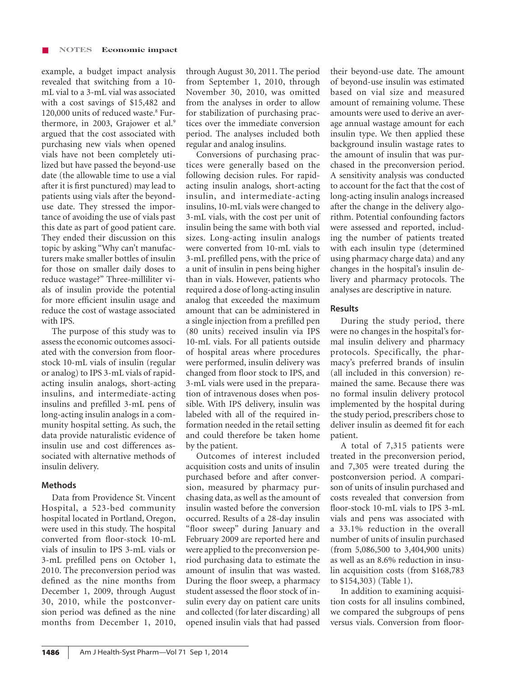example, a budget impact analysis revealed that switching from a 10 mL vial to a 3-mL vial was associated with a cost savings of \$15,482 and 120,000 units of reduced waste.<sup>8</sup> Furthermore, in 2003, Grajower et al.<sup>9</sup> argued that the cost associated with purchasing new vials when opened vials have not been completely utilized but have passed the beyond-use date (the allowable time to use a vial after it is first punctured) may lead to patients using vials after the beyonduse date. They stressed the importance of avoiding the use of vials past this date as part of good patient care. They ended their discussion on this topic by asking "Why can't manufacturers make smaller bottles of insulin for those on smaller daily doses to reduce wastage?" Three-milliliter vials of insulin provide the potential for more efficient insulin usage and reduce the cost of wastage associated with IPS.

The purpose of this study was to assess the economic outcomes associated with the conversion from floorstock 10-mL vials of insulin (regular or analog) to IPS 3-mL vials of rapidacting insulin analogs, short-acting insulins, and intermediate-acting insulins and prefilled 3-mL pens of long-acting insulin analogs in a community hospital setting. As such, the data provide naturalistic evidence of insulin use and cost differences associated with alternative methods of insulin delivery.

### **Methods**

Data from Providence St. Vincent Hospital, a 523-bed community hospital located in Portland, Oregon, were used in this study. The hospital converted from floor-stock 10-mL vials of insulin to IPS 3-mL vials or 3-mL prefilled pens on October 1, 2010. The preconversion period was defined as the nine months from December 1, 2009, through August 30, 2010, while the postconversion period was defined as the nine months from December 1, 2010,

through August 30, 2011. The period from September 1, 2010, through November 30, 2010, was omitted from the analyses in order to allow for stabilization of purchasing practices over the immediate conversion period. The analyses included both regular and analog insulins.

Conversions of purchasing practices were generally based on the following decision rules. For rapidacting insulin analogs, short-acting insulin, and intermediate-acting insulins, 10-mL vials were changed to 3-mL vials, with the cost per unit of insulin being the same with both vial sizes. Long-acting insulin analogs were converted from 10-mL vials to 3-mL prefilled pens, with the price of a unit of insulin in pens being higher than in vials. However, patients who required a dose of long-acting insulin analog that exceeded the maximum amount that can be administered in a single injection from a prefilled pen (80 units) received insulin via IPS 10-mL vials. For all patients outside of hospital areas where procedures were performed, insulin delivery was changed from floor stock to IPS, and 3-mL vials were used in the preparation of intravenous doses when possible. With IPS delivery, insulin was labeled with all of the required information needed in the retail setting and could therefore be taken home by the patient.

Outcomes of interest included acquisition costs and units of insulin purchased before and after conversion, measured by pharmacy purchasing data, as well as the amount of insulin wasted before the conversion occurred. Results of a 28-day insulin "floor sweep" during January and February 2009 are reported here and were applied to the preconversion period purchasing data to estimate the amount of insulin that was wasted. During the floor sweep, a pharmacy student assessed the floor stock of insulin every day on patient care units and collected (for later discarding) all opened insulin vials that had passed

their beyond-use date. The amount of beyond-use insulin was estimated based on vial size and measured amount of remaining volume. These amounts were used to derive an average annual wastage amount for each insulin type. We then applied these background insulin wastage rates to the amount of insulin that was purchased in the preconversion period. A sensitivity analysis was conducted to account for the fact that the cost of long-acting insulin analogs increased after the change in the delivery algorithm. Potential confounding factors were assessed and reported, including the number of patients treated with each insulin type (determined using pharmacy charge data) and any changes in the hospital's insulin delivery and pharmacy protocols. The analyses are descriptive in nature.

#### **Results**

During the study period, there were no changes in the hospital's formal insulin delivery and pharmacy protocols. Specifically, the pharmacy's preferred brands of insulin (all included in this conversion) remained the same. Because there was no formal insulin delivery protocol implemented by the hospital during the study period, prescribers chose to deliver insulin as deemed fit for each patient.

A total of 7,315 patients were treated in the preconversion period, and 7,305 were treated during the postconversion period. A comparison of units of insulin purchased and costs revealed that conversion from floor-stock 10-mL vials to IPS 3-mL vials and pens was associated with a 33.1% reduction in the overall number of units of insulin purchased (from 5,086,500 to 3,404,900 units) as well as an 8.6% reduction in insulin acquisition costs (from \$168,783 to \$154,303) (Table 1)**.**

In addition to examining acquisition costs for all insulins combined, we compared the subgroups of pens versus vials. Conversion from floor-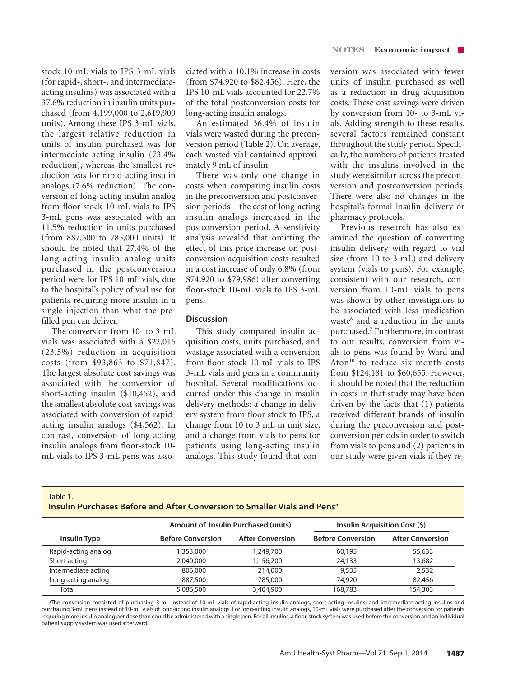stock 10-mL vials to IPS 3-mL vials (for rapid-, short-, and intermediateacting insulins) was associated with a 37.6% reduction in insulin units purchased (from 4,199,000 to 2,619,900 units). Among these IPS 3-mL vials, the largest relative reduction in units of insulin purchased was for intermediate-acting insulin (73.4% reduction), whereas the smallest reduction was for rapid-acting insulin analogs (7.6% reduction). The conversion of long-acting insulin analog from floor-stock 10-mL vials to IPS 3-mL pens was associated with an 11.5% reduction in units purchased (from 887,500 to 785,000 units). It should be noted that 27.4% of the long-acting insulin analog units purchased in the postconversion period were for IPS 10-mL vials, due to the hospital's policy of vial use for patients requiring more insulin in a single injection than what the prefilled pen can deliver.

The conversion from 10- to 3-mL vials was associated with a \$22,016 (23.5%) reduction in acquisition costs (from \$93,863 to \$71,847). The largest absolute cost savings was associated with the conversion of short-acting insulin (\$10,452), and the smallest absolute cost savings was associated with conversion of rapidacting insulin analogs (\$4,562). In contrast, conversion of long-acting insulin analogs from floor-stock 10 mL vials to IPS 3-mL pens was associated with a 10.1% increase in costs (from \$74,920 to \$82,456). Here, the IPS 10-mL vials accounted for 22.7% of the total postconversion costs for long-acting insulin analogs.

An estimated 36.4% of insulin vials were wasted during the preconversion period (Table 2). On average, each wasted vial contained approximately 9 mL of insulin.

There was only one change in costs when comparing insulin costs in the preconversion and postconversion periods—the cost of long-acting insulin analogs increased in the postconversion period. A sensitivity analysis revealed that omitting the effect of this price increase on postconversion acquisition costs resulted in a cost increase of only 6.8% (from \$74,920 to \$79,986) after converting floor-stock 10-mL vials to IPS 3-mL pens.

#### **Discussion**

This study compared insulin acquisition costs, units purchased, and wastage associated with a conversion from floor-stock 10-mL vials to IPS 3-mL vials and pens in a community hospital. Several modifications occurred under this change in insulin delivery methods: a change in delivery system from floor stock to IPS, a change from 10 to 3 mL in unit size, and a change from vials to pens for patients using long-acting insulin analogs. This study found that conversion was associated with fewer units of insulin purchased as well as a reduction in drug acquisition costs. These cost savings were driven by conversion from 10- to 3-mL vials. Adding strength to these results, several factors remained constant throughout the study period. Specifically, the numbers of patients treated with the insulins involved in the study were similar across the preconversion and postconversion periods. There were also no changes in the hospital's formal insulin delivery or pharmacy protocols.

Previous research has also examined the question of converting insulin delivery with regard to vial size (from 10 to 3 mL) and delivery system (vials to pens). For example, consistent with our research, conversion from 10-mL vials to pens was shown by other investigators to be associated with less medication waste<sup>6</sup> and a reduction in the units purchased.7 Furthermore, in contrast to our results, conversion from vials to pens was found by Ward and Aton<sup>10</sup> to reduce six-month costs from \$124,181 to \$60,655. However, it should be noted that the reduction in costs in that study may have been driven by the facts that (1) patients received different brands of insulin during the preconversion and postconversion periods in order to switch from vials to pens and (2) patients in our study were given vials if they re-

| Table |  |  |
|-------|--|--|
|       |  |  |

**Insulin Purchases Before and After Conversion to Smaller Vials and Pensa**

|                     | Amount of Insulin Purchased (units) |                         | Insulin Acquisition Cost (\$) |                         |
|---------------------|-------------------------------------|-------------------------|-------------------------------|-------------------------|
| Insulin Type        | <b>Before Conversion</b>            | <b>After Conversion</b> | <b>Before Conversion</b>      | <b>After Conversion</b> |
| Rapid-acting analog | 1,353,000                           | 1,249,700               | 60,195                        | 55,633                  |
| Short acting        | 2,040,000                           | 1,156,200               | 24,133                        | 13,682                  |
| Intermediate acting | 806,000                             | 214,000                 | 9,535                         | 2,532                   |
| Long-acting analog  | 887,500                             | 785,000                 | 74,920                        | 82,456                  |
| Total               | 5,086,500                           | 3,404,900               | 168,783                       | 154,303                 |

a The conversion consisted of purchasing 3-mL instead of 10-mL vials of rapid-acting insulin analogs, short-acting insulins, and intermediate-acting insulins and purchasing 3-mL pens instead of 10-mL vials of long-acting insulin analogs. For long-acting insulin analogs, 10-mL vials were purchased after the conversion for patients requiring more insulin analog per dose than could be administered with a single pen. For all insulins, a floor-stock system was used before the conversion and an individual patient supply system was used afterward.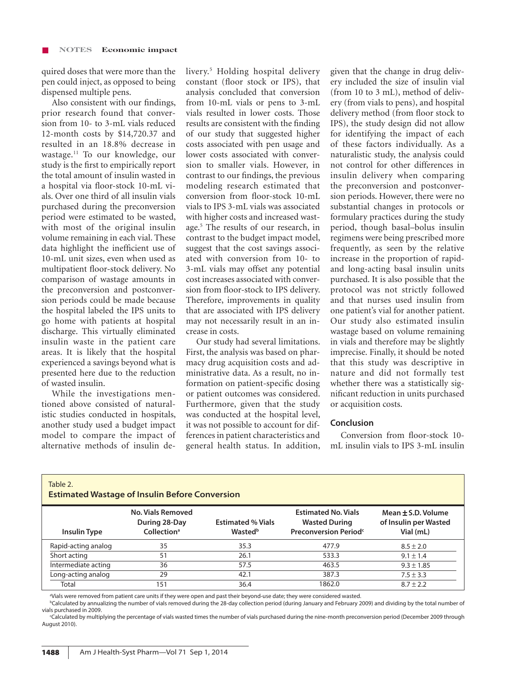quired doses that were more than the pen could inject, as opposed to being dispensed multiple pens.

Also consistent with our findings, prior research found that conversion from 10- to 3-mL vials reduced 12-month costs by \$14,720.37 and resulted in an 18.8% decrease in wastage.11 To our knowledge, our study is the first to empirically report the total amount of insulin wasted in a hospital via floor-stock 10-mL vials. Over one third of all insulin vials purchased during the preconversion period were estimated to be wasted, with most of the original insulin volume remaining in each vial. These data highlight the inefficient use of 10-mL unit sizes, even when used as multipatient floor-stock delivery. No comparison of wastage amounts in the preconversion and postconversion periods could be made because the hospital labeled the IPS units to go home with patients at hospital discharge. This virtually eliminated insulin waste in the patient care areas. It is likely that the hospital experienced a savings beyond what is presented here due to the reduction of wasted insulin.

While the investigations mentioned above consisted of naturalistic studies conducted in hospitals, another study used a budget impact model to compare the impact of alternative methods of insulin de-

Table 2.

livery.5 Holding hospital delivery constant (floor stock or IPS), that analysis concluded that conversion from 10-mL vials or pens to 3-mL vials resulted in lower costs. Those results are consistent with the finding of our study that suggested higher costs associated with pen usage and lower costs associated with conversion to smaller vials. However, in contrast to our findings, the previous modeling research estimated that conversion from floor-stock 10-mL vials to IPS 3-mL vials was associated with higher costs and increased wastage.5 The results of our research, in contrast to the budget impact model, suggest that the cost savings associated with conversion from 10- to 3-mL vials may offset any potential cost increases associated with conversion from floor-stock to IPS delivery. Therefore, improvements in quality that are associated with IPS delivery may not necessarily result in an increase in costs.

Our study had several limitations. First, the analysis was based on pharmacy drug acquisition costs and administrative data. As a result, no information on patient-specific dosing or patient outcomes was considered. Furthermore, given that the study was conducted at the hospital level, it was not possible to account for differences in patient characteristics and general health status. In addition, given that the change in drug delivery included the size of insulin vial (from 10 to 3 mL), method of delivery (from vials to pens), and hospital delivery method (from floor stock to IPS), the study design did not allow for identifying the impact of each of these factors individually. As a naturalistic study, the analysis could not control for other differences in insulin delivery when comparing the preconversion and postconversion periods. However, there were no substantial changes in protocols or formulary practices during the study period, though basal–bolus insulin regimens were being prescribed more frequently, as seen by the relative increase in the proportion of rapidand long-acting basal insulin units purchased. It is also possible that the protocol was not strictly followed and that nurses used insulin from one patient's vial for another patient. Our study also estimated insulin wastage based on volume remaining in vials and therefore may be slightly imprecise. Finally, it should be noted that this study was descriptive in nature and did not formally test whether there was a statistically significant reduction in units purchased or acquisition costs.

## **Conclusion**

Conversion from floor-stock 10 mL insulin vials to IPS 3-mL insulin

| <b>Estimated Wastage of Insulin Before Conversion</b> |                                                               |                                     |                                                                                         |                                                              |  |  |  |
|-------------------------------------------------------|---------------------------------------------------------------|-------------------------------------|-----------------------------------------------------------------------------------------|--------------------------------------------------------------|--|--|--|
| <b>Insulin Type</b>                                   | No. Vials Removed<br>During 28-Day<br>Collection <sup>a</sup> | <b>Estimated % Vials</b><br>Wastedb | <b>Estimated No. Vials</b><br><b>Wasted During</b><br>Preconversion Period <sup>c</sup> | Mean $\pm$ S.D. Volume<br>of Insulin per Wasted<br>Vial (mL) |  |  |  |
| Rapid-acting analog                                   | 35                                                            | 35.3                                | 477.9                                                                                   | $8.5 \pm 2.0$                                                |  |  |  |
| Short acting                                          | 51                                                            | 26.1                                | 533.3                                                                                   | $9.1 \pm 1.4$                                                |  |  |  |
| Intermediate acting                                   | 36                                                            | 57.5                                | 463.5                                                                                   | $9.3 \pm 1.85$                                               |  |  |  |
| Long-acting analog                                    | 29                                                            | 42.1                                | 387.3                                                                                   | $7.5 \pm 3.3$                                                |  |  |  |
| Total                                                 | 151                                                           | 36.4                                | 1862.0                                                                                  | $8.7 \pm 2.2$                                                |  |  |  |

# **Estimated Wastage of Insulin Before Conversion**

a Vials were removed from patient care units if they were open and past their beyond-use date; they were considered wasted.

b Calculated by annualizing the number of vials removed during the 28-day collection period (during January and February 2009) and dividing by the total number of vials purchased in 2009.

c Calculated by multiplying the percentage of vials wasted times the number of vials purchased during the nine-month preconversion period (December 2009 through August 2010).